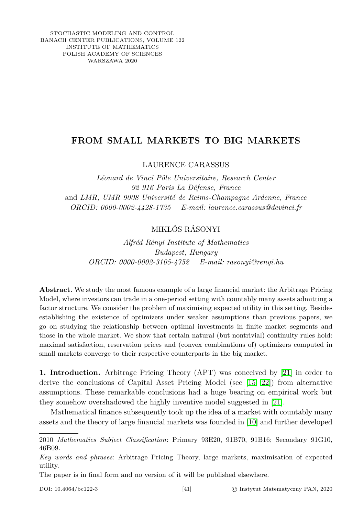STOCHASTIC MODELING AND CONTROL BANACH CENTER PUBLICATIONS, VOLUME 122 INSTITUTE OF MATHEMATICS POLISH ACADEMY OF SCIENCES WARSZAWA 2020

## **FROM SMALL MARKETS TO BIG MARKETS**

## LAURENCE CARASSUS

*Léonard de Vinci Pôle Universitaire, Research Center 92 916 Paris La Défense, France* and *LMR, UMR 9008 Université de Reims-Champagne Ardenne, France ORCID: 0000-0002-4428-1735 E-mail: laurence.carassus@devinci.fr*

## MIKLÓS RÁSONYI

*Alfréd Rényi Institute of Mathematics Budapest, Hungary ORCID: 0000-0002-3105-4752 E-mail: rasonyi@renyi.hu*

**Abstract.** We study the most famous example of a large financial market: the Arbitrage Pricing Model, where investors can trade in a one-period setting with countably many assets admitting a factor structure. We consider the problem of maximising expected utility in this setting. Besides establishing the existence of optimizers under weaker assumptions than previous papers, we go on studying the relationship between optimal investments in finite market segments and those in the whole market. We show that certain natural (but nontrivial) continuity rules hold: maximal satisfaction, reservation prices and (convex combinations of) optimizers computed in small markets converge to their respective counterparts in the big market.

**1. Introduction.** Arbitrage Pricing Theory (APT) was conceived by [\[21\]](#page-11-0) in order to derive the conclusions of Capital Asset Pricing Model (see [\[15,](#page-11-1) [22\]](#page-11-2)) from alternative assumptions. These remarkable conclusions had a huge bearing on empirical work but they somehow overshadowed the highly inventive model suggested in [\[21\]](#page-11-0).

Mathematical finance subsequently took up the idea of a market with countably many assets and the theory of large financial markets was founded in [\[10\]](#page-10-0) and further developed

The paper is in final form and no version of it will be published elsewhere.

<sup>2010</sup> *Mathematics Subject Classification*: Primary 93E20, 91B70, 91B16; Secondary 91G10, 46B09.

*Key words and phrases*: Arbitrage Pricing Theory, large markets, maximisation of expected utility.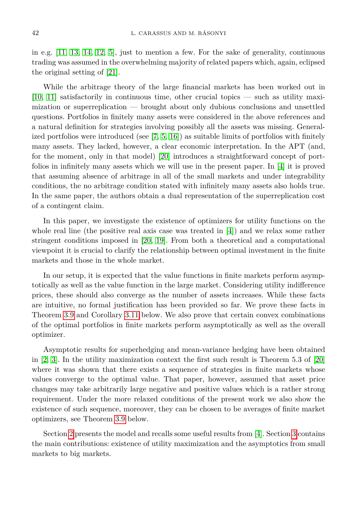in e.g. [\[11,](#page-10-1) [13,](#page-10-2) [14,](#page-10-3) [12,](#page-10-4) [5\]](#page-10-5), just to mention a few. For the sake of generality, continuous trading was assumed in the overwhelming majority of related papers which, again, eclipsed the original setting of [\[21\]](#page-11-0).

While the arbitrage theory of the large financial markets has been worked out in [\[10,](#page-10-0) [11\]](#page-10-1) satisfactorily in continuous time, other crucial topics — such as utility maximization or superreplication — brought about only dubious conclusions and unsettled questions. Portfolios in finitely many assets were considered in the above references and a natural definition for strategies involving possibly all the assets was missing. Generalized portfolios were introduced (see  $[7, 5, 16]$  $[7, 5, 16]$  $[7, 5, 16]$ ) as suitable limits of portfolios with finitely many assets. They lacked, however, a clear economic interpretation. In the APT (and, for the moment, only in that model) [\[20\]](#page-11-4) introduces a straightforward concept of portfolios in infinitely many assets which we will use in the present paper. In [\[4\]](#page-10-7) it is proved that assuming absence of arbitrage in all of the small markets and under integrability conditions, the no arbitrage condition stated with infinitely many assets also holds true. In the same paper, the authors obtain a dual representation of the superreplication cost of a contingent claim.

In this paper, we investigate the existence of optimizers for utility functions on the whole real line (the positive real axis case was treated in [\[4\]](#page-10-7)) and we relax some rather stringent conditions imposed in [\[20,](#page-11-4) [19\]](#page-11-5). From both a theoretical and a computational viewpoint it is crucial to clarify the relationship between optimal investment in the finite markets and those in the whole market.

In our setup, it is expected that the value functions in finite markets perform asymptotically as well as the value function in the large market. Considering utility indifference prices, these should also converge as the number of assets increases. While these facts are intuitive, no formal justification has been provided so far. We prove these facts in Theorem [3.9](#page-8-0) and Corollary [3.11](#page-9-0) below. We also prove that certain convex combinations of the optimal portfolios in finite markets perform asymptotically as well as the overall optimizer.

Asymptotic results for superhedging and mean-variance hedging have been obtained in [\[2,](#page-10-8) [3\]](#page-10-9). In the utility maximization context the first such result is Theorem 5.3 of [\[20\]](#page-11-4) where it was shown that there exists a sequence of strategies in finite markets whose values converge to the optimal value. That paper, however, assumed that asset price changes may take arbitrarily large negative and positive values which is a rather strong requirement. Under the more relaxed conditions of the present work we also show the existence of such sequence, moreover, they can be chosen to be averages of finite market optimizers, see Theorem [3.9](#page-8-0) below.

<span id="page-1-0"></span>Section [2](#page-1-0) presents the model and recalls some useful results from [\[4\]](#page-10-7). Section [3](#page-4-0) contains the main contributions: existence of utility maximization and the asymptotics from small markets to big markets.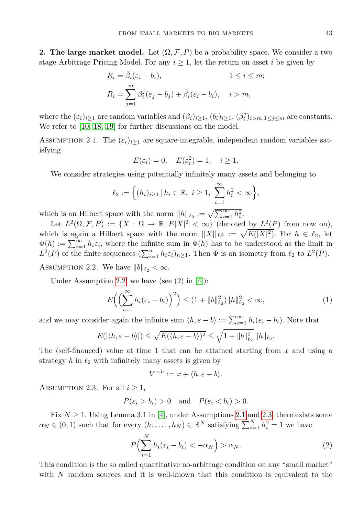**2. The large market model.** Let  $(\Omega, \mathcal{F}, P)$  be a probability space. We consider a two stage Arbitrage Pricing Model. For any  $i \geq 1$ , let the return on asset *i* be given by

$$
R_i = \overline{\beta}_i(\varepsilon_i - b_i), \qquad 1 \le i \le m;
$$
  
\n
$$
R_i = \sum_{j=1}^m \beta_i^j(\varepsilon_j - b_j) + \overline{\beta}_i(\varepsilon_i - b_i), \quad i > m,
$$

where the  $(\varepsilon_i)_{i\geq 1}$  are random variables and  $(\bar{\beta}_i)_{i\geq 1}$ ,  $(b_i)_{i\geq 1}$ ,  $(\beta_i^j)_{i>m,1\leq j\leq m}$  are constants. We refer to [\[10,](#page-10-0) [18,](#page-11-6) [19\]](#page-11-5) for further discussions on the model.

<span id="page-2-1"></span>ASSUMPTION 2.1. The  $(\varepsilon_i)_{i>1}$  are square-integrable, independent random variables satisfying

$$
E(\varepsilon_i) = 0, \quad E(\varepsilon_i^2) = 1, \quad i \ge 1.
$$

We consider strategies using potentially infinitely many assets and belonging to

$$
\ell_2 := \Big\{ (h_i)_{i \ge 1} \, | \, h_i \in \mathbb{R}, \ i \ge 1, \ \sum_{i=1}^{\infty} h_i^2 < \infty \Big\},\
$$

which is an Hilbert space with the norm  $||h||_{\ell_2} := \sqrt{\sum_{i=1}^{\infty} h_i^2}$ .

Let  $L^2(\Omega, \mathcal{F}, P) := \{X : \Omega \to \mathbb{R} \mid E|X|^2 < \infty\}$  (denoted by  $L^2(P)$  from now on), which is again a Hilbert space with the norm  $||X||_{L^2} := \sqrt{E(|X|^2)}$ . For  $h \in \ell_2$ , let  $\Phi(h) := \sum_{i=1}^{\infty} h_i \varepsilon_i$ , where the infinite sum in  $\Phi(h)$  has to be understood as the limit in  $L^2(P)$  of the finite sequences  $(\sum_{i=1}^n h_i \varepsilon_i)_{n \geq 1}$ . Then  $\Phi$  is an isometry from  $\ell_2$  to  $L^2(P)$ .

<span id="page-2-0"></span>ASSUMPTION 2.2. We have  $||b||_{\ell_2} < \infty$ .

Under Assumption [2.2,](#page-2-0) we have (see  $(2)$  in  $[4]$ ):

<span id="page-2-4"></span>
$$
E\left(\left(\sum_{i=1}^{\infty} h_i(\varepsilon_i - b_i)\right)^2\right) \le (1 + \|b\|_{\ell_2}^2) \|h\|_{\ell_2}^2 < \infty,
$$
 (1)

and we may consider again the infinite sum  $\langle h, \varepsilon - b \rangle := \sum_{i=1}^{\infty} h_i(\varepsilon_i - b_i)$ . Note that

$$
E(|\langle h, \varepsilon - b \rangle|) \le \sqrt{E(\langle h, \varepsilon - b \rangle)^2} \le \sqrt{1 + \|b\|_{\ell_2}^2} \|h\|_{\ell_2}.
$$

The (self-financed) value at time 1 that can be attained starting from *x* and using a strategy  $h$  in  $\ell_2$  with infinitely many assets is given by

<span id="page-2-3"></span>
$$
V^{x,h} := x + \langle h, \varepsilon - b \rangle.
$$

<span id="page-2-2"></span>ASSUMPTION 2.3. For all  $i \geq 1$ ,

$$
P(\varepsilon_i > b_i) > 0
$$
 and  $P(\varepsilon_i < b_i) > 0$ .

Fix  $N \geq 1$ . Using Lemma 3.1 in [\[4\]](#page-10-7), under Assumptions [2.1](#page-2-1) and [2.3,](#page-2-2) there exists some  $\alpha_N \in (0,1)$  such that for every  $(h_1, \ldots, h_N) \in \mathbb{R}^N$  satisfying  $\sum_{i=1}^N h_i^2 = 1$  we have

$$
P\left(\sum_{i=1}^{N} h_i(\varepsilon_i - b_i) < -\alpha_N\right) > \alpha_N. \tag{2}
$$

This condition is the so called quantitative no-arbitrage condition on any "small market" with N random sources and it is well-known that this condition is equivalent to the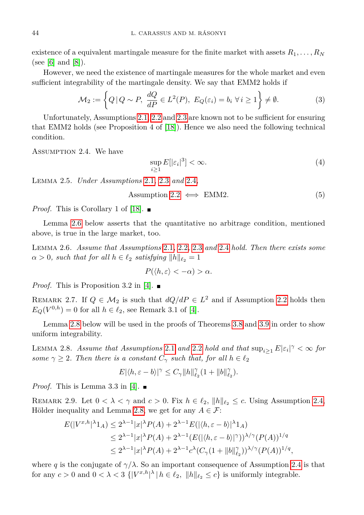existence of a equivalent martingale measure for the finite market with assets  $R_1, \ldots, R_N$ (see [\[6\]](#page-10-10) and  $[8]$ ).

However, we need the existence of martingale measures for the whole market and even sufficient integrability of the martingale density. We say that EMM2 holds if

$$
\mathcal{M}_2 := \left\{ Q \, | \, Q \sim P, \, \frac{dQ}{dP} \in L^2(P), \, E_Q(\varepsilon_i) = b_i \, \forall i \ge 1 \right\} \neq \emptyset. \tag{3}
$$

Unfortunately, Assumptions [2.1,](#page-2-1) [2.2](#page-2-0) and [2.3](#page-2-2) are known not to be sufficient for ensuring that EMM2 holds (see Proposition 4 of [\[18\]](#page-11-6)). Hence we also need the following technical condition.

<span id="page-3-0"></span>Assumption 2.4. We have

<span id="page-3-3"></span>
$$
\sup_{i\geq 1} E[|\varepsilon_i|^3] < \infty. \tag{4}
$$

Lemma 2.5. *Under Assumptions* [2.1](#page-2-1)*,* [2.3](#page-2-2) *and* [2.4](#page-3-0)*,*

Assumption 2.2 
$$
\iff
$$
 EMM2. (5)

*Proof.* This is Corollary 1 of [\[18\]](#page-11-6).  $\blacksquare$ 

Lemma [2.6](#page-3-1) below asserts that the quantitative no arbitrage condition, mentioned above, is true in the large market, too.

<span id="page-3-1"></span>Lemma 2.6. *Assume that Assumptions* [2.1](#page-2-1)*,* [2.2](#page-2-0)*,* [2.3](#page-2-2) *and* [2.4](#page-3-0) *hold. Then there exists some*  $\alpha > 0$ *, such that for all*  $h \in \ell_2$  *satisfying*  $\|h\|_{\ell_2} = 1$ 

$$
P(\langle h, \varepsilon \rangle < -\alpha) > \alpha.
$$

*Proof.* This is Proposition 3.2 in [\[4\]](#page-10-7).  $\blacksquare$ 

REMARK 2.7. If  $Q \in M_2$  is such that  $dQ/dP \in L^2$  and if Assumption [2.2](#page-2-0) holds then  $E_Q(V^{0,h}) = 0$  for all  $h \in \ell_2$ , see Remark 3.1 of [\[4\]](#page-10-7).

Lemma [2.8](#page-3-2) below will be used in the proofs of Theorems [3.8](#page-6-0) and [3.9](#page-8-0) in order to show uniform integrability.

<span id="page-3-2"></span>LEMMA 2.8. *Assume that Assumptions* [2.1](#page-2-1) *and* [2.2](#page-2-0) *hold and that*  $\sup_{i \geq 1} E|\varepsilon_i|^\gamma < \infty$  for *some*  $\gamma \geq 2$ *. Then there is a constant*  $C_{\gamma}$  *such that, for all*  $h \in \ell_2$ 

$$
E|\langle h, \varepsilon - b \rangle|^{\gamma} \leq C_{\gamma} \|h\|_{\ell_2}^{\gamma} (1 + \|b\|_{\ell_2}^{\gamma}).
$$

*Proof.* This is Lemma 3.3 in [\[4\]](#page-10-7).  $\blacksquare$ 

<span id="page-3-4"></span>REMARK 2.9. Let  $0 < \lambda < \gamma$  and  $c > 0$ . Fix  $h \in \ell_2$ ,  $\|h\|_{\ell_2} \leq c$ . Using Assumption [2.4,](#page-3-0) Hölder inequality and Lemma [2.8,](#page-3-2) we get for any  $A \in \mathcal{F}$ :

$$
E(|V^{x,h}|^{\lambda}1_A) \le 2^{\lambda-1}|x|^{\lambda}P(A) + 2^{\lambda-1}E(|\langle h, \varepsilon - b \rangle|^{\lambda}1_A)
$$
  
\n
$$
\le 2^{\lambda-1}|x|^{\lambda}P(A) + 2^{\lambda-1}(E(|\langle h, \varepsilon - b \rangle|^{\gamma}))^{\lambda/\gamma}(P(A))^{1/q}
$$
  
\n
$$
\le 2^{\lambda-1}|x|^{\lambda}P(A) + 2^{\lambda-1}c^{\lambda}(C_{\gamma}(1+||b||_{\ell_2}^{\gamma}))^{\lambda/\gamma}(P(A))^{1/q},
$$

where *q* is the conjugate of  $\gamma/\lambda$ . So an important consequence of Assumption [2.4](#page-3-0) is that for any  $c > 0$  and  $0 < \lambda < 3$  { $|V^{x,h}|^{\lambda} | h \in \ell_2$ ,  $||h||_{\ell_2} \le c$ } is uniformly integrable.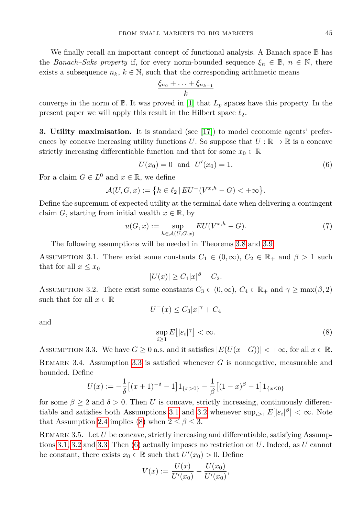We finally recall an important concept of functional analysis. A Banach space B has the *Banach–Saks property* if, for every norm-bounded sequence  $\xi_n \in \mathbb{B}$ ,  $n \in \mathbb{N}$ , there exists a subsequence  $n_k, k \in \mathbb{N}$ , such that the corresponding arithmetic means

<span id="page-4-5"></span>
$$
\frac{\xi_{n_0} + \ldots + \xi_{n_{k-1}}}{k}
$$

converge in the norm of  $\mathbb{B}$ . It was proved in [\[1\]](#page-10-12) that  $L_p$  spaces have this property. In the present paper we will apply this result in the Hilbert space  $\ell_2$ .

<span id="page-4-0"></span>**3. Utility maximisation.** It is standard (see [\[17\]](#page-11-7)) to model economic agents' preferences by concave increasing utility functions *U*. So suppose that  $U : \mathbb{R} \to \mathbb{R}$  is a concave strictly increasing differentiable function and that for some  $x_0 \in \mathbb{R}$ 

$$
U(x_0) = 0 \text{ and } U'(x_0) = 1. \tag{6}
$$

For a claim  $G \in L^0$  and  $x \in \mathbb{R}$ , we define

$$
\mathcal{A}(U, G, x) := \{ h \in \ell_2 \, | \, EU^-(V^{x,h} - G) < +\infty \}.
$$

Define the supremum of expected utility at the terminal date when delivering a contingent claim *G*, starting from initial wealth  $x \in \mathbb{R}$ , by

<span id="page-4-6"></span>
$$
u(G,x) := \sup_{h \in \mathcal{A}(U,G,x)} EU(V^{x,h} - G). \tag{7}
$$

The following assumptions will be needed in Theorems [3.8](#page-6-0) and [3.9.](#page-8-0)

<span id="page-4-2"></span>ASSUMPTION 3.1. There exist some constants  $C_1 \in (0, \infty)$ ,  $C_2 \in \mathbb{R}_+$  and  $\beta > 1$  such that for all  $x \leq x_0$ 

$$
|U(x)| \geq C_1 |x|^{\beta} - C_2.
$$

<span id="page-4-3"></span>ASSUMPTION 3.2. There exist some constants  $C_3 \in (0, \infty)$ ,  $C_4 \in \mathbb{R}_+$  and  $\gamma \ge \max(\beta, 2)$ such that for all  $x \in \mathbb{R}$  $U^{-}(x) \leq C_3 |x|^{\gamma} + C_4$ 

<span id="page-4-4"></span>and

$$
\sup_{i\geq 1} E\big[|\varepsilon_i|^\gamma\big] < \infty. \tag{8}
$$

<span id="page-4-1"></span>ASSUMPTION 3.3. We have  $G \geq 0$  a.s. and it satisfies  $|E(U(x-G))| < +\infty$ , for all  $x \in \mathbb{R}$ . Remark 3.4. Assumption [3.3](#page-4-1) is satisfied whenever *G* is nonnegative, measurable and bounded. Define

$$
U(x) := -\frac{1}{\delta} \left[ (x+1)^{-\delta} - 1 \right] 1_{\{x > 0\}} - \frac{1}{\beta} \left[ (1-x)^{\beta} - 1 \right] 1_{\{x \le 0\}}
$$

for some  $\beta \geq 2$  and  $\delta > 0$ . Then *U* is concave, strictly increasing, continuously differen-tiable and satisfies both Assumptions [3.1](#page-4-2) and [3.2](#page-4-3) whenever  $\sup_{i\geq 1} E[|\varepsilon_i|^{\beta}] < \infty$ . Note that Assumption [2.4](#page-3-0) implies [\(8\)](#page-4-4) when  $2 \le \beta \le 3$ .

REMARK 3.5. Let *U* be concave, strictly increasing and differentiable, satisfying Assumptions [3.1,](#page-4-2) [3.2](#page-4-3) and [3.3.](#page-4-1) Then [\(6\)](#page-4-5) actually imposes no restriction on *U*. Indeed, as *U* cannot be constant, there exists  $x_0 \in \mathbb{R}$  such that  $U'(x_0) > 0$ . Define

$$
V(x) := \frac{U(x)}{U'(x_0)} - \frac{U(x_0)}{U'(x_0)},
$$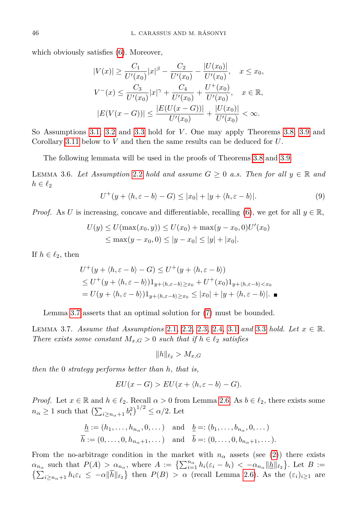which obviously satisfies [\(6\)](#page-4-5). Moreover,

*U*

$$
|V(x)| \geq \frac{C_1}{U'(x_0)}|x|^{\beta} - \frac{C_2}{U'(x_0)} - \frac{|U(x_0)|}{U'(x_0)}, \quad x \leq x_0,
$$
  

$$
V^-(x) \leq \frac{C_3}{U'(x_0)}|x|^{\gamma} + \frac{C_4}{U'(x_0)} + \frac{U^+(x_0)}{U'(x_0)}, \quad x \in \mathbb{R},
$$
  

$$
|E(V(x - G))| \leq \frac{|E(U(x - G))|}{U'(x_0)} + \frac{|U(x_0)|}{U'(x_0)} < \infty.
$$

So Assumptions [3.1,](#page-4-2) [3.2](#page-4-3) and [3.3](#page-4-1) hold for *V* . One may apply Theorems [3.8,](#page-6-0) [3.9](#page-8-0) and Corollary [3.11](#page-9-0) below to *V* and then the same results can be deduced for *U*.

The following lemmata will be used in the proofs of Theorems [3.8](#page-6-0) and [3.9.](#page-8-0)

<span id="page-5-2"></span><span id="page-5-1"></span>LEMMA 3.6. Let Assumption [2.2](#page-2-0) hold and assume  $G \geq 0$  a.s. Then for all  $y \in \mathbb{R}$  and  $h \in \ell_2$ 

$$
U^+(y+\langle h,\varepsilon-b\rangle-G)\leq |x_0|+|y+\langle h,\varepsilon-b\rangle|.\tag{9}
$$

*Proof.* As *U* is increasing, concave and differentiable, recalling [\(6\)](#page-4-5), we get for all  $y \in \mathbb{R}$ ,

$$
U(y) \le U(\max(x_0, y)) \le U(x_0) + \max(y - x_0, 0)U'(x_0)
$$
  
\n
$$
\le \max(y - x_0, 0) \le |y - x_0| \le |y| + |x_0|.
$$

If  $h \in \ell_2$ , then

$$
U^+(y+\langle h,\varepsilon-b\rangle-G)\leq U^+(y+\langle h,\varepsilon-b\rangle)
$$
  
\n
$$
\leq U^+(y+\langle h,\varepsilon-b\rangle)1_{y+\langle h,\varepsilon-b\rangle\geq x_0}+U^+(x_0)1_{y+\langle h,\varepsilon-b\rangle\leq x_0}
$$
  
\n
$$
=U(y+\langle h,\varepsilon-b\rangle)1_{y+\langle h,\varepsilon-b\rangle\geq x_0}\leq |x_0|+|y+\langle h,\varepsilon-b\rangle|.
$$

Lemma [3.7](#page-5-0) asserts that an optimal solution for [\(7\)](#page-4-6) must be bounded.

<span id="page-5-0"></span>Lemma 3.7. *Assume that Assumptions* [2.1](#page-2-1)*,* [2.2](#page-2-0)*,* [2.3](#page-2-2)*,* [2.4](#page-3-0)*,* [3.1](#page-4-2) *and* [3.3](#page-4-1) *hold. Let x* ∈ R*. There exists some constant*  $M_{x,G} > 0$  *such that if*  $h \in \ell_2$  *satisfies* 

$$
\|h\|_{\ell_2} > M_{x,G}
$$

*then the* 0 *strategy performs better than h, that is,*

$$
EU(x - G) > EU(x + \langle h, \varepsilon - b \rangle - G).
$$

*Proof.* Let  $x \in \mathbb{R}$  and  $h \in \ell_2$ . Recall  $\alpha > 0$  from Lemma [2.6.](#page-3-1) As  $b \in \ell_2$ , there exists some  $n_{\alpha} \ge 1$  such that  $\left(\sum_{i \ge n_{\alpha}+1} b_i^2\right)^{1/2} \le \alpha/2$ . Let

$$
\underline{h} := (h_1, \dots, h_{n_\alpha}, 0, \dots) \text{ and } \underline{b} =: (b_1, \dots, b_{n_\alpha}, 0, \dots)
$$
  

$$
\overline{h} := (0, \dots, 0, h_{n_\alpha+1}, \dots) \text{ and } \overline{b} =: (0, \dots, 0, b_{n_\alpha+1}, \dots).
$$

From the no-arbitrage condition in the market with  $n_{\alpha}$  assets (see [\(2\)](#page-2-3)) there exists  $\alpha_{n_{\alpha}}$  such that  $P(A) > \alpha_{n_{\alpha}}$ , where  $A := \left\{ \sum_{i=1}^{n_{\alpha}} h_i(\varepsilon_i - b_i) < -\alpha_{n_{\alpha}} ||\underline{h}||_{\ell_2} \right\}$ . Let  $B :=$  $\sum_{i\geq n_\alpha+1} h_i \varepsilon_i \leq -\alpha \|\overline{h}\|_{\ell_2}$  then  $P(B) > \alpha$  (recall Lemma [2.6\)](#page-3-1). As the  $(\varepsilon_i)_{i\geq 1}$  are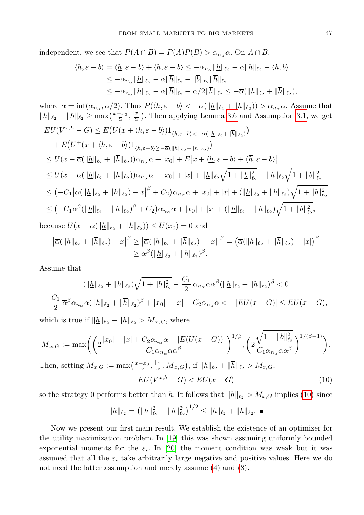independent, we see that  $P(A \cap B) = P(A)P(B) > \alpha_{n_{\alpha}} \alpha$ . On  $A \cap B$ ,

$$
\langle h, \varepsilon - b \rangle = \langle \underline{h}, \varepsilon - b \rangle + \langle \overline{h}, \varepsilon - b \rangle \le -\alpha_{n_{\alpha}} ||\underline{h}||_{\ell_2} - \alpha ||\overline{h}||_{\ell_2} - \langle \overline{h}, \overline{b} \rangle
$$
  
\n
$$
\le -\alpha_{n_{\alpha}} ||\underline{h}||_{\ell_2} - \alpha ||\overline{h}||_{\ell_2} + ||\overline{b}||_{\ell_2} ||\overline{h}||_{\ell_2}
$$
  
\n
$$
\le -\alpha_{n_{\alpha}} ||\underline{h}||_{\ell_2} - \alpha ||\overline{h}||_{\ell_2} + \alpha/2 ||\overline{h}||_{\ell_2} \le -\overline{\alpha} (||\underline{h}||_{\ell_2} + ||\overline{h}||_{\ell_2}),
$$

where  $\overline{\alpha} = \inf(\alpha_{n_{\alpha}}, \alpha/2)$ . Thus  $P(\langle h, \varepsilon - b \rangle < -\overline{\alpha}(\|\underline{h}\|_{\ell_2} + \|h\|_{\ell_2})) > \alpha_{n_{\alpha}}\alpha$ . Assume that  $\|\underline{h}\|_{\ell_2} + \|\overline{h}\|_{\ell_2} \ge \max\left(\frac{x-x_0}{\overline{\alpha}}, \frac{|x|}{\overline{\alpha}}\right)$  $\frac{x}{\overline{\alpha}}$ ). Then applying Lemma [3.6](#page-5-1) and Assumption [3.1,](#page-4-2) we get  $EU(V^{x,h}-G) \leq E(U(x+\langle h,\varepsilon-b \rangle)1_{\langle h,\varepsilon-b \rangle \langle -\overline{\alpha}(\| \underline{h} \|_{\ell_2} + \| \overline{h} \|_{\ell_2})})$  $+ E(U^+(x + \langle h, \varepsilon - b \rangle) 1_{\langle h, \varepsilon - b \rangle \ge -\overline{\alpha}(\Vert \underline{h} \Vert_{\ell_2} + \Vert \overline{h} \Vert_{\ell_2})})$  $\leq U(x - \overline{\alpha}(\Vert \underline{h} \Vert_{\ell_2} + \Vert \overline{h} \Vert_{\ell_2}))\alpha_{n_\alpha}\alpha + |x_0| + E|x + \langle \underline{h}, \varepsilon - b \rangle + \langle \overline{h}, \varepsilon - b \rangle|$  $\leq U(x-\overline{\alpha}(\|\underline{h}\|_{\ell_{2}}+\|\overline{h}\|_{\ell_{2}}))\alpha_{n_{\alpha}}\alpha+|x_{0}|+|x|+\|\underline{h}\|_{\ell_{2}}\sqrt{1+\|\underline{b}\|_{\ell_{2}}^{2}}+\|\overline{h}\|_{\ell_{2}}\sqrt{1+\|\overline{b}\|_{\ell_{2}}^{2}}$  $\leq (-C_1 |\overline{\alpha}(\|\underline{h}\|_{\ell_2} + \|\overline{h}\|_{\ell_2}) - x|$  $\int_{0}^{\beta}$  +  $C_{2}$ ) $\alpha_{n_{\alpha}}\alpha$  + | $x_{0}$ | + | $x$ | + (|<u>| $h$ ||</u> $\ell_{2}$  + || $\overline{h}$ || $\ell_{2}$ ) $\sqrt{1 + ||b||^{2}_{\ell_{2}}}$  $\leq \big( -C_1\overline{\alpha}^{\beta}(\|\underline{h}\|_{\ell_2}+\|\overline{h}\|_{\ell_2})^{\beta}+C_2\big)\alpha_{n_{\alpha}}\alpha+|x_0|+|x|+(\|\underline{h}\|_{\ell_2}+\|\overline{h}\|_{\ell_2})\sqrt{1+\|b\|_{\ell_2}^2},$ because  $U(x - \overline{\alpha}(\|\underline{h}\|_{\ell_2} + \|h\|_{\ell_2})) \le U(x_0) = 0$  and

$$
\left| \overline{\alpha}(\|\underline{h}\|_{\ell_2} + \|\overline{h}\|_{\ell_2}) - x \right|^{\beta} \geq \left| \overline{\alpha}(\|\underline{h}\|_{\ell_2} + \|\overline{h}\|_{\ell_2}) - |x| \right|^{\beta} = (\overline{\alpha}(\|\underline{h}\|_{\ell_2} + \|\overline{h}\|_{\ell_2}) - |x|)^{\beta} \geq \overline{\alpha}^{\beta}(\|\underline{h}\|_{\ell_2} + \|\overline{h}\|_{\ell_2})^{\beta}.
$$

Assume that

$$
(\|\underline{h}\|_{\ell_2} + \|\overline{h}\|_{\ell_2})\sqrt{1 + \|b\|_{\ell_2}^2} - \frac{C_1}{2} \alpha_{n_\alpha} \alpha \overline{\alpha}^\beta (\|\underline{h}\|_{\ell_2} + \|\overline{h}\|_{\ell_2})^\beta < 0
$$
  

$$
-\frac{C_1}{2} \overline{\alpha}^\beta \alpha_{n_\alpha} \alpha (\|\underline{h}\|_{\ell_2} + \|\overline{h}\|_{\ell_2})^\beta + |x_0| + |x| + C_2 \alpha_{n_\alpha} \alpha < -|EU(x - G)| \le EU(x - G),
$$
  
which is true if  $\|\underline{h}\|_{\ell_2} + \|\overline{h}\|_{\ell_2} > \overline{M}_{x, G}$ , where

$$
\overline{M}_{x,G} := \max \biggl( \biggl( 2\frac{|x_0| + |x| + C_2 \alpha_{n_\alpha} \alpha + |E(U(x - G))|}{C_1 \alpha_{n_\alpha} \alpha \overline{\alpha}^\beta} \biggr)^{1/\beta}, \biggl( 2\frac{\sqrt{1 + ||b||_{\ell_2}^2}}{C_1 \alpha_{n_\alpha} \alpha \overline{\alpha}^\beta} \biggr)^{1/(\beta - 1)} \biggr).
$$
  
Then, setting  $M_{x,G} := \max \biggl( \frac{x - x_0}{\overline{\alpha}}, \frac{|x|}{\overline{\alpha}}, \overline{M}_{x,G} \biggr)$ , if  $||\underline{h}||_{\ell_2} + ||\overline{h}||_{\ell_2} > M_{x,G}$ ,

<span id="page-6-1"></span>
$$
EU(V^{x,h} - G) < EU(x - G) \tag{10}
$$

so the strategy 0 performs better than *h*. It follows that  $||h||_{\ell_2} > M_{x,G}$  implies [\(10\)](#page-6-1) since

$$
||h||_{\ell_2} = \left(||\underline{h}||_{\ell_2}^2 + ||\overline{h}||_{\ell_2}^2\right)^{1/2} \le ||\underline{h}||_{\ell_2} + ||\overline{h}||_{\ell_2}. \blacksquare
$$

<span id="page-6-0"></span>Now we present our first main result. We establish the existence of an optimizer for the utility maximization problem. In [\[19\]](#page-11-5) this was shown assuming uniformly bounded exponential moments for the  $\varepsilon_i$ . In [\[20\]](#page-11-4) the moment condition was weak but it was assumed that all the  $\varepsilon_i$  take arbitrarily large negative and positive values. Here we do not need the latter assumption and merely assume [\(4\)](#page-3-3) and [\(8\)](#page-4-4).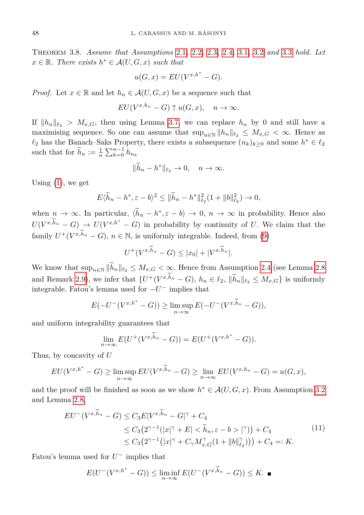Theorem 3.8. *Assume that Assumptions* [2.1](#page-2-1)*,* [2.2](#page-2-0)*,* [2.3](#page-2-2)*,* [2.4](#page-3-0)*,* [3.1](#page-4-2)*,* [3.2](#page-4-3) *and* [3.3](#page-4-1) *hold. Let*  $x \in \mathbb{R}$ *. There exists*  $h^* \in \mathcal{A}(U, G, x)$  *such that* 

$$
u(G, x) = EU(V^{x, h^*} - G).
$$

*Proof.* Let  $x \in \mathbb{R}$  and let  $h_n \in \mathcal{A}(U, G, x)$  be a sequence such that

$$
EU(V^{x,h_n}-G) \uparrow u(G,x), \quad n \to \infty.
$$

If  $\|h_n\|_{\ell_2} > M_{x,G}$ , then using Lemma [3.7,](#page-5-0) we can replace  $h_n$  by 0 and still have a maximising sequence. So one can assume that  $\sup_{n\in\mathbb{N}} ||h_n||_{\ell_2} \leq M_{x,G} < \infty$ . Hence as  $\ell_2$  has the Banach–Saks Property, there exists a subsequence  $(n_k)_{k≥0}$  and some  $h^* ∈ \ell_2$ such that for  $\widetilde{h}_n := \frac{1}{n} \sum_{k=0}^{n-1} h_{n_k}$ 

$$
\|\tilde{h}_n - h^*\|_{\ell_2} \to 0, \quad n \to \infty.
$$

Using [\(1\)](#page-2-4), we get

$$
E\langle \widetilde{h}_n - h^*, \varepsilon - b \rangle^2 \le ||\widetilde{h}_n - h^*||_{\ell_2}^2 (1 + ||b||_{\ell_2}^2) \to 0,
$$

when  $n \to \infty$ . In particular,  $\langle \tilde{h}_n - h^*, \varepsilon - b \rangle \to 0$ ,  $n \to \infty$  in probability. Hence also  $U(V^{x,h_n}-G) \to U(V^{x,h^*}-G)$  in probability by continuity of *U*. We claim that the family  $U^+(V^{x,h_n}-G)$ ,  $n \in \mathbb{N}$ , is uniformly integrable. Indeed, from [\(9\)](#page-5-2)

$$
U^+(V^{x,h_n}-G) \le |x_0| + |V^{x,h_n}|.
$$

We know that  $\sup_{n\in\mathbb{N}}\|\tilde{h}_n\|_{\ell_2} \leq M_{x,G} < \infty$ . Hence from Assumption [2.4](#page-3-0) (see Lemma [2.8](#page-3-2)) and Remark [2.9\)](#page-3-4), we infer that  $\{U^+(V^{x,h_n}-G), h_n \in \ell_2, \|\tilde{h}_n\|_{\ell_2} \leq M_{x,G}\}$  is uniformly integrable. Fatou's lemma used for  $-U^-$  implies that

$$
E(-U^-(V^{x,h^*}-G)) \ge \limsup_{n \to \infty} E(-U^-(V^{x,h_n}-G)),
$$

and uniform integrability guarantees that

$$
\lim_{n \to \infty} E(U^+(V^{x,\widetilde{h}_n} - G)) = E(U^+(V^{x,h^*} - G)).
$$

Thus, by concavity of *U*

$$
EU(V^{x,h^*}-G) \geq \limsup_{n \to \infty} EU(V^{x,h_n}-G) \geq \lim_{n \to \infty} EU(V^{x,h_n}-G) = u(G,x),
$$

and the proof will be finished as soon as we show  $h^* \in \mathcal{A}(U, G, x)$ . From Assumption [3.2](#page-4-3) and Lemma [2.8,](#page-3-2)

<span id="page-7-0"></span>
$$
EU^{-}(V^{x,\widetilde{h}_{n}}-G) \leq C_{3}E|V^{x,\widetilde{h}_{n}}-G|^{\gamma}+C_{4}
$$
  
\n
$$
\leq C_{3}(2^{\gamma-1}(|x|^{\gamma}+E|<\widetilde{h}_{n}, \varepsilon-b>|\gamma))+C_{4}
$$
  
\n
$$
\leq C_{3}(2^{\gamma-1}(|x|^{\gamma}+C_{\gamma}M_{x,G}^{\gamma}(1+||b||_{\ell_{2}}^{\gamma}))) + C_{4}=:K.
$$
\n(11)

Fatou's lemma used for  $U^-$  implies that

$$
E(U^-(V^{x,h^*}-G)) \le \liminf_{n \to \infty} E(U^-(V^{x,h_n}-G)) \le K. \blacksquare
$$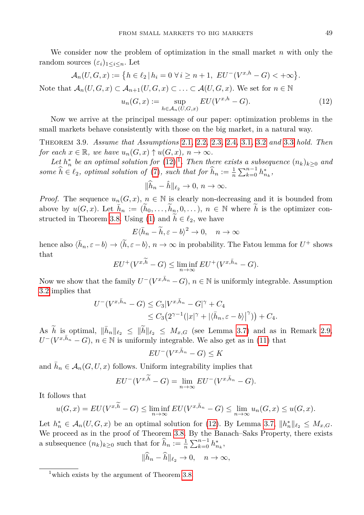We consider now the problem of optimization in the small market *n* with only the random sources  $(\varepsilon_i)_{1 \leq i \leq n}$ . Let

$$
\mathcal{A}_n(U, G, x) := \{ h \in \ell_2 \mid h_i = 0 \,\,\forall \, i \ge n+1, \,\, EU^-(V^{x,h} - G) < +\infty \}.
$$
\nNote that  $\mathcal{A}_n(U, G, x) \subset \mathcal{A}_{n+1}(U, G, x) \subset \ldots \subset \mathcal{A}(U, G, x)$ . We set for  $n \in \mathbb{N}$ .

<span id="page-8-1"></span>
$$
u_n(G, x) := \sup_{h \in \mathcal{A}_n(U, G, x)} EU(V^{x, h} - G).
$$
 (12)

Now we arrive at the principal message of our paper: optimization problems in the small markets behave consistently with those on the big market, in a natural way.

<span id="page-8-0"></span>Theorem 3.9. *Assume that Assumptions* [2.1](#page-2-1)*,* [2.2](#page-2-0)*,* [2.3](#page-2-2)*,* [2.4](#page-3-0)*,* [3.1](#page-4-2)*,* [3.2](#page-4-3) *and* [3.3](#page-4-1) *hold. Then for each*  $x \in \mathbb{R}$ *, we have*  $u_n(G, x) \uparrow u(G, x)$ *,*  $n \to \infty$ *.* 

*Let*  $h_n^*$  be an optimal solution for  $(12)^{1}$  $(12)^{1}$  $(12)^{1}$  $(12)^{1}$ . Then there exists a subsequence  $(n_k)_{k\geq 0}$  and *some*  $\hat{h} \in \ell_2$ *, optimal solution of* [\(7\)](#page-4-6)*, such that for*  $\hat{h}_n := \frac{1}{n} \sum_{k=0}^{n-1} h_{n_k}^*$ ,

$$
\|\widehat{h}_n - \widehat{h}\|_{\ell_2} \to 0, n \to \infty.
$$

*Proof.* The sequence  $u_n(G, x)$ ,  $n \in \mathbb{N}$  is clearly non-decreasing and it is bounded from above by  $u(G, x)$ . Let  $\bar{h}_n := (\tilde{h}_0, \ldots, \tilde{h}_n, 0, \ldots), n \in \mathbb{N}$  where  $\tilde{h}$  is the optimizer con-structed in Theorem [3.8.](#page-6-0) Using [\(1\)](#page-2-4) and  $h \in \ell_2$ , we have

$$
E\langle \bar{h}_n - \tilde{h}, \varepsilon - b \rangle^2 \to 0, \quad n \to \infty
$$

hence also  $\langle \bar{h}_n, \varepsilon - b \rangle \to \langle \tilde{h}, \varepsilon - b \rangle$ ,  $n \to \infty$  in probability. The Fatou lemma for  $U^+$  shows that

$$
EU^+(V^{x,\widetilde{h}}-G) \le \liminf_{n \to \infty} EU^+(V^{x,\widetilde{h}_n}-G).
$$

Now we show that the family  $U^-(V^{x,\bar{h}_n}-G)$ ,  $n \in \mathbb{N}$  is uniformly integrable. Assumption [3.2](#page-4-3) implies that

$$
U^-(V^{x,\bar{h}_n}-G) \leq C_3|V^{x,\bar{h}_n}-G|^{\gamma}+C_4
$$
  
\n
$$
\leq C_3(2^{\gamma-1}(|x|^{\gamma}+|\langle\bar{h}_n,\varepsilon-b\rangle|^{\gamma}))+C_4.
$$

As  $\widetilde{h}$  is optimal,  $\|\bar{h}_n\|_{\ell_2} \leq \|\widetilde{h}\|_{\ell_2} \leq M_{x,G}$  (see Lemma [3.7\)](#page-5-0) and as in Remark [2.9,](#page-3-4)  $U^{-}(V^{x,\bar{h}_{n}} - G), n \in \mathbb{N}$  is uniformly integrable. We also get as in [\(11\)](#page-7-0) that

$$
EU^-(V^{x,\bar{h}_n} - G) \leq K
$$

and  $\bar{h}_n \in A_n(G, U, x)$  follows. Uniform integrability implies that

$$
EU^-(V^{x,\tilde{h}}-G) = \lim_{n \to \infty} EU^-(V^{x,\tilde{h}_n} - G).
$$

It follows that

$$
u(G, x) = EU(V^{x, \widetilde{h}} - G) \le \liminf_{n \to \infty} EU(V^{x, \overline{h}_n} - G) \le \lim_{n \to \infty} u_n(G, x) \le u(G, x).
$$

Let  $h_n^* \in \mathcal{A}_n(U, G, x)$  be an optimal solution for [\(12\)](#page-8-1). By Lemma [3.7,](#page-5-0)  $||h_n^*||_{\ell_2} \leq M_{x,G}$ . We proceed as in the proof of Theorem [3.8.](#page-6-0) By the Banach–Saks Property, there exists a subsequence  $(n_k)_{k \geq 0}$  such that for  $\widehat{h}_n := \frac{1}{n} \sum_{k=0}^{n-1} h_{n_k}^*$ ,

$$
\|\widehat{h}_n - \widehat{h}\|_{\ell_2} \to 0, \quad n \to \infty,
$$

<span id="page-8-2"></span><sup>&</sup>lt;sup>1</sup>which exists by the argument of Theorem [3.8.](#page-6-0)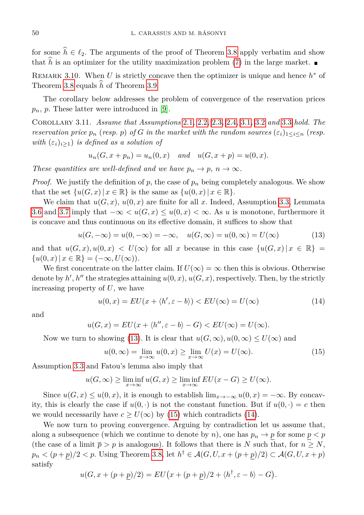for some  $\hat{h} \in \ell_2$ . The arguments of the proof of Theorem [3.8](#page-6-0) apply verbatim and show that  $\hat{h}$  is an optimizer for the utility maximization problem [\(7\)](#page-4-6) in the large market.

REMARK 3.10. When *U* is strictly concave then the optimizer is unique and hence  $h^*$  of Theorem [3.8](#page-6-0) equals <sup>b</sup>*<sup>h</sup>* of Theorem [3.9.](#page-8-0)

The corollary below addresses the problem of convergence of the reservation prices *pn*, *p*. These latter were introduced in [\[9\]](#page-10-13).

<span id="page-9-0"></span>Corollary 3.11. *Assume that Assumptions* [2.1](#page-2-1)*,* [2.2](#page-2-0)*,* [2.3](#page-2-2)*,* [2.4](#page-3-0)*,* [3.1](#page-4-2)*,* [3.2](#page-4-3) *and* [3.3](#page-4-1) *hold. The reservation price*  $p_n$  (*resp. p*) *of G in the market with the random sources*  $(\varepsilon_i)_{1 \leq i \leq n}$  (*resp. with*  $(\varepsilon_i)_{i\geq 1}$  *is defined as a solution of* 

$$
u_n(G, x + p_n) = u_n(0, x)
$$
 and  $u(G, x + p) = u(0, x)$ .

*These quantities are well-defined and we have*  $p_n \to p$ ,  $n \to \infty$ *.* 

*Proof.* We justify the definition of  $p$ , the case of  $p_n$  being completely analogous. We show that the set  $\{u(G, x) | x \in \mathbb{R}\}\$ is the same as  $\{u(0, x) | x \in \mathbb{R}\}.$ 

We claim that  $u(G, x)$ ,  $u(0, x)$  are finite for all x. Indeed, Assumption [3.3,](#page-4-1) Lemmata [3.6](#page-5-1) and [3.7](#page-5-0) imply that  $-\infty < u(G, x) \le u(0, x) < \infty$ . As *u* is monotone, furthermore it is concave and thus continuous on its effective domain, it suffices to show that

$$
u(G, -\infty) = u(0, -\infty) = -\infty, \quad u(G, \infty) = u(0, \infty) = U(\infty)
$$
 (13)

and that  $u(G, x), u(0, x) < U(\infty)$  for all *x* because in this case  $\{u(G, x) | x \in \mathbb{R}\}\neq$  ${u(0, x) | x \in \mathbb{R} } = (-\infty, U(\infty)).$ 

We first concentrate on the latter claim. If  $U(\infty) = \infty$  then this is obvious. Otherwise denote by  $h'$ ,  $h''$  the strategies attaining  $u(0, x)$ ,  $u(G, x)$ , respectively. Then, by the strictly increasing property of *U*, we have

<span id="page-9-3"></span><span id="page-9-1"></span>
$$
u(0,x) = EU(x + \langle h', \varepsilon - b \rangle) < EU(\infty) = U(\infty) \tag{14}
$$

and

$$
u(G, x) = EU(x + \langle h'', \varepsilon - b \rangle - G) < EU(\infty) = U(\infty).
$$

Now we turn to showing [\(13\)](#page-9-1). It is clear that  $u(G,\infty), u(0,\infty) \leq U(\infty)$  and

<span id="page-9-2"></span>
$$
u(0,\infty) = \lim_{x \to \infty} u(0,x) \ge \lim_{x \to \infty} U(x) = U(\infty).
$$
 (15)

Assumption [3.3](#page-4-1) and Fatou's lemma also imply that

$$
u(G, \infty) \ge \liminf_{x \to \infty} u(G, x) \ge \liminf_{x \to \infty} EU(x - G) \ge U(\infty).
$$

Since  $u(G, x) \leq u(0, x)$ , it is enough to establish  $\lim_{x \to -\infty} u(0, x) = -\infty$ . By concavity, this is clearly the case if  $u(0, \cdot)$  is not the constant function. But if  $u(0, \cdot) = c$  then we would necessarily have  $c \ge U(\infty)$  by [\(15\)](#page-9-2) which contradicts [\(14\)](#page-9-3).

We now turn to proving convergence. Arguing by contradiction let us assume that, along a subsequence (which we continue to denote by *n*), one has  $p_n \to p$  for some  $p < p$ (the case of a limit  $\bar{p} > p$  is analogous). It follows that there is *N* such that, for  $n \geq N$ , *p*<sup>*n*</sup>  $\leq$   $(p+p)/2 < p$ . Using Theorem [3.8,](#page-6-0) let *h*<sup>†</sup> ∈  $\mathcal{A}(G, U, x+(p+p)/2) \subset \mathcal{A}(G, U, x+p)$ satisfy

$$
u(G, x + (p + \underline{p})/2) = EU(x + (p + \underline{p})/2 + \langle h^{\dagger}, \varepsilon - b \rangle - G).
$$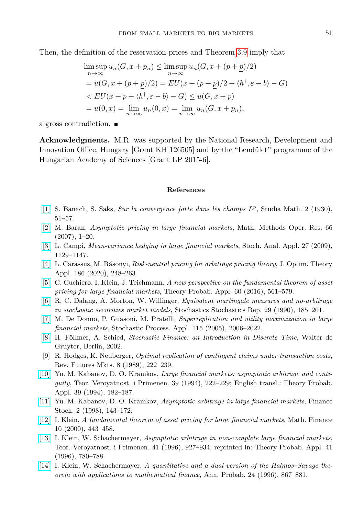Then, the definition of the reservation prices and Theorem [3.9](#page-8-0) imply that

$$
\limsup_{n \to \infty} u_n(G, x + p_n) \le \limsup_{n \to \infty} u_n(G, x + (p + \underline{p})/2)
$$
  
=  $u(G, x + (p + \underline{p})/2) = EU(x + (p + \underline{p})/2 + \langle h^{\dagger}, \varepsilon - b \rangle - G)$   
<  $EU(x + p + \langle h^{\dagger}, \varepsilon - b \rangle - G) \le u(G, x + p)$   
=  $u(0, x) = \lim_{n \to \infty} u_n(0, x) = \lim_{n \to \infty} u_n(G, x + p_n),$ 

a gross contradiction.

**Acknowledgments.** M.R. was supported by the National Research, Development and Innovation Office, Hungary [Grant KH 126505] and by the "Lendület" programme of the Hungarian Academy of Sciences [Grant LP 2015-6].

## **References**

- <span id="page-10-12"></span>[\[1\]](http://dx.doi.org/10.4064/sm-2-1-51-57) S. Banach, S. Saks, *Sur la convergence forte dans les champs L p* , Studia Math. 2 (1930), 51–57.
- <span id="page-10-8"></span>[\[2\]](http://dx.doi.org/10.1007/s00186-006-0144-7) M. Baran, *Asymptotic pricing in large financial markets*, Math. Methods Oper. Res. 66 (2007), 1–20.
- <span id="page-10-9"></span>[\[3\]](http://dx.doi.org/10.1080/07362990903259223) L. Campi, *Mean-variance hedging in large financial markets*, Stoch. Anal. Appl. 27 (2009), 1129–1147.
- <span id="page-10-7"></span>[\[4\]](http://dx.doi.org/10.1007/s10957-020-01699-6) L. Carassus, M. Rásonyi, *Risk-neutral pricing for arbitrage pricing theory*, J. Optim. Theory Appl. 186 (2020), 248–263.
- <span id="page-10-5"></span>[\[5\]](http://dx.doi.org/10.1137/S0040585X97T987879) C. Cuchiero, I. Klein, J. Teichmann, *A new perspective on the fundamental theorem of asset pricing for large financial markets*, Theory Probab. Appl. 60 (2016), 561–579.
- <span id="page-10-10"></span>[\[6\]](http://dx.doi.org/10.1080/17442509008833613) R. C. Dalang, A. Morton, W. Willinger, *Equivalent martingale measures and no-arbitrage in stochastic securities market models*, Stochastics Stochastics Rep. 29 (1990), 185–201.
- <span id="page-10-6"></span>[\[7\]](http://dx.doi.org/10.1016/j.spa.2005.06.010) M. De Donno, P. Guasoni, M. Pratelli, *Superreplication and utility maximization in large financial markets*, Stochastic Process. Appl. 115 (2005), 2006–2022.
- <span id="page-10-11"></span>[\[8\]](http://dx.doi.org/10.1515/9783110463453) H. Föllmer, A. Schied, *Stochastic Finance: an Introduction in Discrete Time*, Walter de Gruyter, Berlin, 2002.
- <span id="page-10-13"></span>[9] R. Hodges, K. Neuberger, *Optimal replication of contingent claims under transaction costs*, Rev. Futures Mkts. 8 (1989), 222–239.
- <span id="page-10-0"></span>[\[10\]](http://dx.doi.org/10.1137/1139009) Yu. M. Kabanov, D. O. Kramkov, *Large financial markets: asymptotic arbitrage and contiguity*, Teor. Veroyatnost. i Primenen. 39 (1994), 222–229; English transl.: Theory Probab. Appl. 39 (1994), 182–187.
- <span id="page-10-1"></span>[\[11\]](http://dx.doi.org/10.1007/s007800050036) Yu. M. Kabanov, D. O. Kramkov, *Asymptotic arbitrage in large financial markets*, Finance Stoch. 2 (1998), 143–172.
- <span id="page-10-4"></span>[\[12\]](http://dx.doi.org/10.1111/1467-9965.00103) I. Klein, *A fundamental theorem of asset pricing for large financial markets*, Math. Finance 10 (2000), 443–458.
- <span id="page-10-2"></span>[\[13\]](http://dx.doi.org/10.4213/tvp3284) I. Klein, W. Schachermayer, *Asymptotic arbitrage in non-complete large financial markets*, Teor. Veroyatnost. i Primenen. 41 (1996), 927–934; reprinted in: Theory Probab. Appl. 41 (1996), 780–788.
- <span id="page-10-3"></span>[\[14\]](http://dx.doi.org/10.1214/aop/1039639366) I. Klein, W. Schachermayer, *A quantitative and a dual version of the Halmos–Savage theorem with applications to mathematical finance*, Ann. Probab. 24 (1996), 867–881.